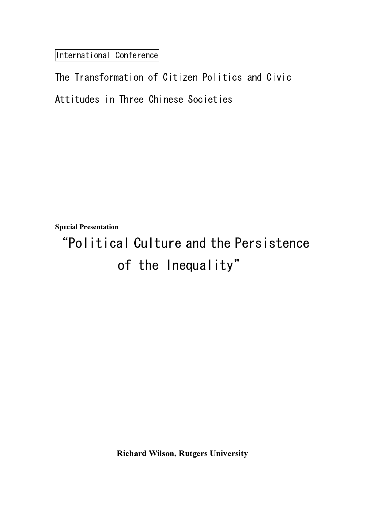International Conference

Special Presentation

"Political Culture and the Persistence of the Inequality"

Richard Wilson, Rutgers University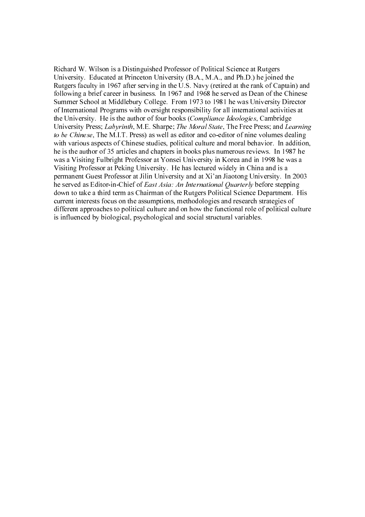Richard W. Wilson is a Distinguished Professor of Political Science at Rutgers University. Educated at Princeton University (B.A., M.A., and Ph.D.) he joined the Rutgers faculty in 1967 after serving in the U.S. Navy (retired at the rank of Captain) and following a brief career in business. In 1967 and 1968 he served as Dean of the Chinese Summer School at Middlebury College. From 1973 to 1981 he was University Director of International Programs with oversight responsibility for all international activities at the University. He is the author of four books (Compliance Ideologies, Cambridge University Press; Labyrinth, M.E. Sharpe; The Moral State, The Free Press; and Learning to be Chinese, The M.I.T. Press) as well as editor and co-editor of nine volumes dealing with various aspects of Chinese studies, political culture and moral behavior. In addition, he is the author of 35 articles and chapters in books plus numerous reviews. In 1987 he was a Visiting Fulbright Professor at Yonsei University in Korea and in 1998 he was a Visiting Professor at Peking University. He has lectured widely in China and is a permanent Guest Professor at Jilin University and at Xi'an Jiaotong University. In 2003 he served as Editor-in-Chief of *East Asia: An International Quarterly* before stepping down to take a third term as Chairman of the Rutgers Political Science Department. His current interests focus on the assumptions, methodologies and research strategies of different approaches to political culture and on how the functional role of political culture is influenced by biological, psychological and social structural variables.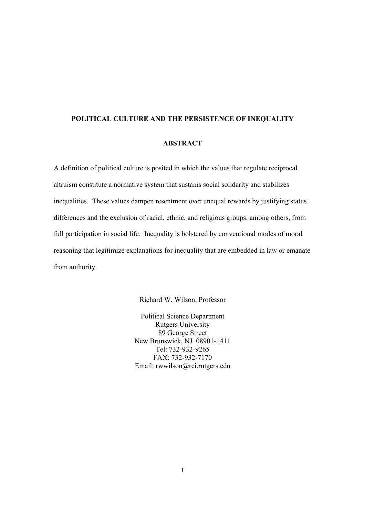## **POLITICAL CULTURE AND THE PERSISTENCE OF INEQUALITY**

### **ABSTRACT**

A definition of political culture is posited in which the values that regulate reciprocal altruism constitute a normative system that sustains social solidarity and stabilizes inequalities. These values dampen resentment over unequal rewards by justifying status differences and the exclusion of racial, ethnic, and religious groups, among others, from full participation in social life. Inequality is bolstered by conventional modes of moral reasoning that legitimize explanations for inequality that are embedded in law or emanate from authority.

Richard W. Wilson, Professor

Political Science Department Rutgers University 89 George Street New Brunswick, NJ 08901-1411 Tel: 732-932-9265 FAX: 732-932-7170 Email: rwwilson@rci.rutgers.edu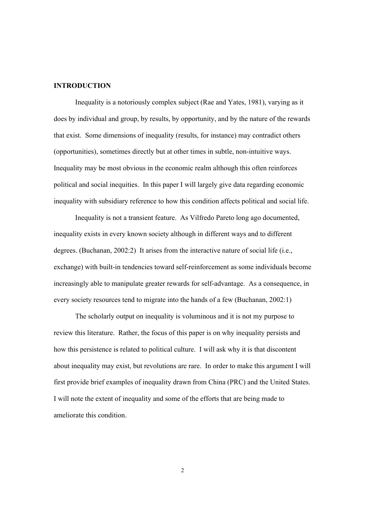# **INTRODUCTION**

Inequality is a notoriously complex subject (Rae and Yates, 1981), varying as it does by individual and group, by results, by opportunity, and by the nature of the rewards that exist. Some dimensions of inequality (results, for instance) may contradict others (opportunities), sometimes directly but at other times in subtle, non-intuitive ways. Inequality may be most obvious in the economic realm although this often reinforces political and social inequities. In this paper I will largely give data regarding economic inequality with subsidiary reference to how this condition affects political and social life.

Inequality is not a transient feature. As Vilfredo Pareto long ago documented, inequality exists in every known society although in different ways and to different degrees. (Buchanan, 2002:2) It arises from the interactive nature of social life (i.e., exchange) with built-in tendencies toward self-reinforcement as some individuals become increasingly able to manipulate greater rewards for self-advantage. As a consequence, in every society resources tend to migrate into the hands of a few (Buchanan, 2002:1)

 The scholarly output on inequality is voluminous and it is not my purpose to review this literature. Rather, the focus of this paper is on why inequality persists and how this persistence is related to political culture. I will ask why it is that discontent about inequality may exist, but revolutions are rare. In order to make this argument I will first provide brief examples of inequality drawn from China (PRC) and the United States. I will note the extent of inequality and some of the efforts that are being made to ameliorate this condition.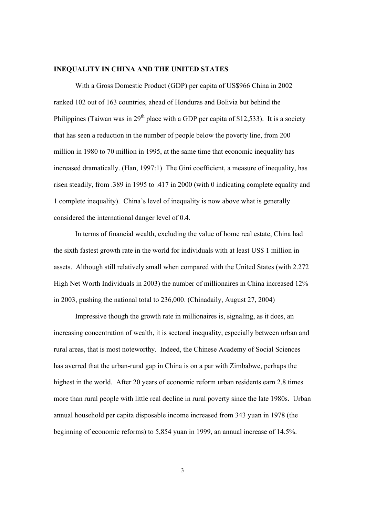#### **INEQUALITY IN CHINA AND THE UNITED STATES**

With a Gross Domestic Product (GDP) per capita of US\$966 China in 2002 ranked 102 out of 163 countries, ahead of Honduras and Bolivia but behind the Philippines (Taiwan was in  $29<sup>th</sup>$  place with a GDP per capita of \$12,533). It is a society that has seen a reduction in the number of people below the poverty line, from 200 million in 1980 to 70 million in 1995, at the same time that economic inequality has increased dramatically. (Han, 1997:1) The Gini coefficient, a measure of inequality, has risen steadily, from .389 in 1995 to .417 in 2000 (with 0 indicating complete equality and 1 complete inequality). China's level of inequality is now above what is generally considered the international danger level of 0.4.

 In terms of financial wealth, excluding the value of home real estate, China had the sixth fastest growth rate in the world for individuals with at least US\$ 1 million in assets. Although still relatively small when compared with the United States (with 2.272 High Net Worth Individuals in 2003) the number of millionaires in China increased 12% in 2003, pushing the national total to 236,000. (Chinadaily, August 27, 2004)

Impressive though the growth rate in millionaires is, signaling, as it does, an increasing concentration of wealth, it is sectoral inequality, especially between urban and rural areas, that is most noteworthy. Indeed, the Chinese Academy of Social Sciences has averred that the urban-rural gap in China is on a par with Zimbabwe, perhaps the highest in the world. After 20 years of economic reform urban residents earn 2.8 times more than rural people with little real decline in rural poverty since the late 1980s. Urban annual household per capita disposable income increased from 343 yuan in 1978 (the beginning of economic reforms) to 5,854 yuan in 1999, an annual increase of 14.5%.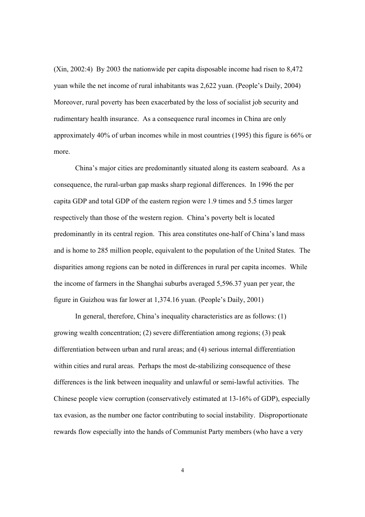(Xin, 2002:4) By 2003 the nationwide per capita disposable income had risen to 8,472 yuan while the net income of rural inhabitants was 2,622 yuan. (People's Daily, 2004) Moreover, rural poverty has been exacerbated by the loss of socialist job security and rudimentary health insurance. As a consequence rural incomes in China are only approximately 40% of urban incomes while in most countries (1995) this figure is 66% or more.

 China's major cities are predominantly situated along its eastern seaboard. As a consequence, the rural-urban gap masks sharp regional differences. In 1996 the per capita GDP and total GDP of the eastern region were 1.9 times and 5.5 times larger respectively than those of the western region. China's poverty belt is located predominantly in its central region. This area constitutes one-half of China's land mass and is home to 285 million people, equivalent to the population of the United States. The disparities among regions can be noted in differences in rural per capita incomes. While the income of farmers in the Shanghai suburbs averaged 5,596.37 yuan per year, the figure in Guizhou was far lower at 1,374.16 yuan. (People's Daily, 2001)

 In general, therefore, China's inequality characteristics are as follows: (1) growing wealth concentration; (2) severe differentiation among regions; (3) peak differentiation between urban and rural areas; and (4) serious internal differentiation within cities and rural areas. Perhaps the most de-stabilizing consequence of these differences is the link between inequality and unlawful or semi-lawful activities. The Chinese people view corruption (conservatively estimated at 13-16% of GDP), especially tax evasion, as the number one factor contributing to social instability. Disproportionate rewards flow especially into the hands of Communist Party members (who have a very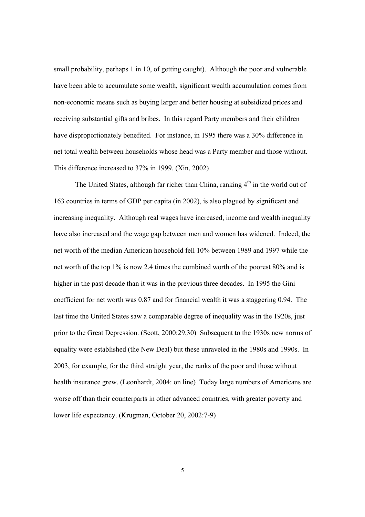small probability, perhaps 1 in 10, of getting caught). Although the poor and vulnerable have been able to accumulate some wealth, significant wealth accumulation comes from non-economic means such as buying larger and better housing at subsidized prices and receiving substantial gifts and bribes. In this regard Party members and their children have disproportionately benefited. For instance, in 1995 there was a 30% difference in net total wealth between households whose head was a Party member and those without. This difference increased to 37% in 1999. (Xin, 2002)

The United States, although far richer than China, ranking  $4<sup>th</sup>$  in the world out of 163 countries in terms of GDP per capita (in 2002), is also plagued by significant and increasing inequality. Although real wages have increased, income and wealth inequality have also increased and the wage gap between men and women has widened. Indeed, the net worth of the median American household fell 10% between 1989 and 1997 while the net worth of the top 1% is now 2.4 times the combined worth of the poorest 80% and is higher in the past decade than it was in the previous three decades. In 1995 the Gini coefficient for net worth was 0.87 and for financial wealth it was a staggering 0.94. The last time the United States saw a comparable degree of inequality was in the 1920s, just prior to the Great Depression. (Scott, 2000:29,30) Subsequent to the 1930s new norms of equality were established (the New Deal) but these unraveled in the 1980s and 1990s. In 2003, for example, for the third straight year, the ranks of the poor and those without health insurance grew. (Leonhardt, 2004: on line) Today large numbers of Americans are worse off than their counterparts in other advanced countries, with greater poverty and lower life expectancy. (Krugman, October 20, 2002:7-9)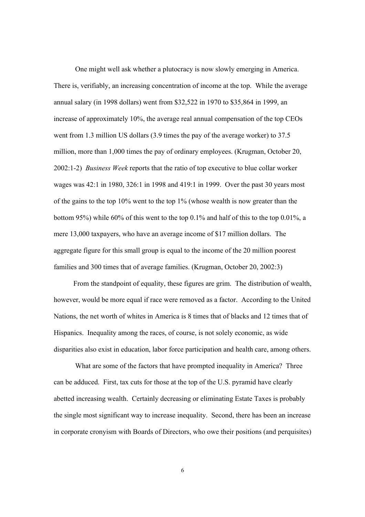One might well ask whether a plutocracy is now slowly emerging in America. There is, verifiably, an increasing concentration of income at the top. While the average annual salary (in 1998 dollars) went from \$32,522 in 1970 to \$35,864 in 1999, an increase of approximately 10%, the average real annual compensation of the top CEOs went from 1.3 million US dollars (3.9 times the pay of the average worker) to 37.5 million, more than 1,000 times the pay of ordinary employees. (Krugman, October 20, 2002:1-2) *Business Week* reports that the ratio of top executive to blue collar worker wages was 42:1 in 1980, 326:1 in 1998 and 419:1 in 1999. Over the past 30 years most of the gains to the top 10% went to the top 1% (whose wealth is now greater than the bottom 95%) while 60% of this went to the top 0.1% and half of this to the top 0.01%, a mere 13,000 taxpayers, who have an average income of \$17 million dollars. The aggregate figure for this small group is equal to the income of the 20 million poorest families and 300 times that of average families. (Krugman, October 20, 2002:3)

 From the standpoint of equality, these figures are grim. The distribution of wealth, however, would be more equal if race were removed as a factor. According to the United Nations, the net worth of whites in America is 8 times that of blacks and 12 times that of Hispanics. Inequality among the races, of course, is not solely economic, as wide disparities also exist in education, labor force participation and health care, among others.

 What are some of the factors that have prompted inequality in America? Three can be adduced. First, tax cuts for those at the top of the U.S. pyramid have clearly abetted increasing wealth. Certainly decreasing or eliminating Estate Taxes is probably the single most significant way to increase inequality. Second, there has been an increase in corporate cronyism with Boards of Directors, who owe their positions (and perquisites)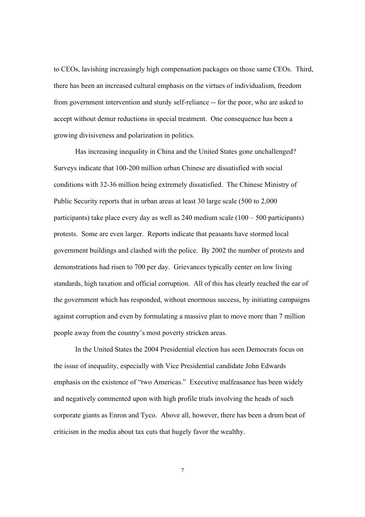to CEOs, lavishing increasingly high compensation packages on those same CEOs. Third, there has been an increased cultural emphasis on the virtues of individualism, freedom from government intervention and sturdy self-reliance -- for the poor, who are asked to accept without demur reductions in special treatment. One consequence has been a growing divisiveness and polarization in politics.

 Has increasing inequality in China and the United States gone unchallenged? Surveys indicate that 100-200 million urban Chinese are dissatisfied with social conditions with 32-36 million being extremely dissatisfied. The Chinese Ministry of Public Security reports that in urban areas at least 30 large scale (500 to 2,000 participants) take place every day as well as 240 medium scale (100 – 500 participants) protests. Some are even larger. Reports indicate that peasants have stormed local government buildings and clashed with the police. By 2002 the number of protests and demonstrations had risen to 700 per day. Grievances typically center on low living standards, high taxation and official corruption. All of this has clearly reached the ear of the government which has responded, without enormous success, by initiating campaigns against corruption and even by formulating a massive plan to move more than 7 million people away from the country's most poverty stricken areas.

 In the United States the 2004 Presidential election has seen Democrats focus on the issue of inequality, especially with Vice Presidential candidate John Edwards emphasis on the existence of "two Americas." Executive malfeasance has been widely and negatively commented upon with high profile trials involving the heads of such corporate giants as Enron and Tyco. Above all, however, there has been a drum beat of criticism in the media about tax cuts that hugely favor the wealthy.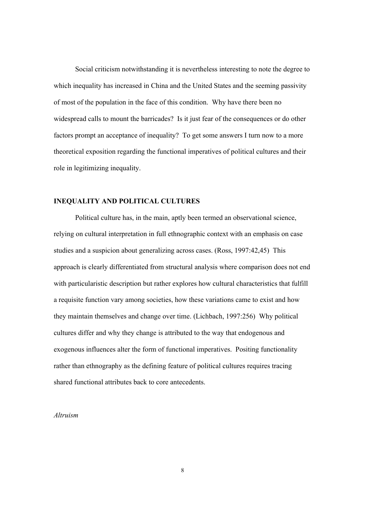Social criticism notwithstanding it is nevertheless interesting to note the degree to which inequality has increased in China and the United States and the seeming passivity of most of the population in the face of this condition. Why have there been no widespread calls to mount the barricades? Is it just fear of the consequences or do other factors prompt an acceptance of inequality? To get some answers I turn now to a more theoretical exposition regarding the functional imperatives of political cultures and their role in legitimizing inequality.

# **INEQUALITY AND POLITICAL CULTURES**

 Political culture has, in the main, aptly been termed an observational science, relying on cultural interpretation in full ethnographic context with an emphasis on case studies and a suspicion about generalizing across cases. (Ross, 1997:42,45) This approach is clearly differentiated from structural analysis where comparison does not end with particularistic description but rather explores how cultural characteristics that fulfill a requisite function vary among societies, how these variations came to exist and how they maintain themselves and change over time. (Lichbach, 1997:256) Why political cultures differ and why they change is attributed to the way that endogenous and exogenous influences alter the form of functional imperatives. Positing functionality rather than ethnography as the defining feature of political cultures requires tracing shared functional attributes back to core antecedents.

### *Altruism*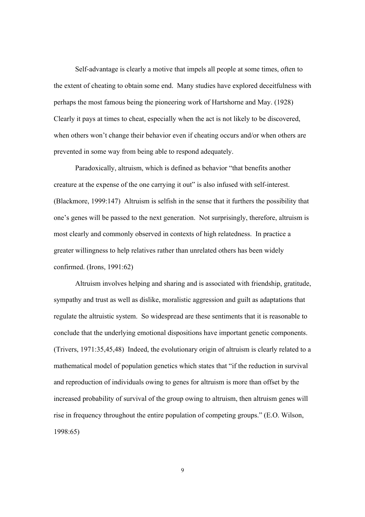Self-advantage is clearly a motive that impels all people at some times, often to the extent of cheating to obtain some end. Many studies have explored deceitfulness with perhaps the most famous being the pioneering work of Hartshorne and May. (1928) Clearly it pays at times to cheat, especially when the act is not likely to be discovered, when others won't change their behavior even if cheating occurs and/or when others are prevented in some way from being able to respond adequately.

Paradoxically, altruism, which is defined as behavior "that benefits another creature at the expense of the one carrying it out" is also infused with self-interest. (Blackmore, 1999:147) Altruism is selfish in the sense that it furthers the possibility that one's genes will be passed to the next generation. Not surprisingly, therefore, altruism is most clearly and commonly observed in contexts of high relatedness. In practice a greater willingness to help relatives rather than unrelated others has been widely confirmed. (Irons, 1991:62)

Altruism involves helping and sharing and is associated with friendship, gratitude, sympathy and trust as well as dislike, moralistic aggression and guilt as adaptations that regulate the altruistic system. So widespread are these sentiments that it is reasonable to conclude that the underlying emotional dispositions have important genetic components. (Trivers, 1971:35,45,48) Indeed, the evolutionary origin of altruism is clearly related to a mathematical model of population genetics which states that "if the reduction in survival and reproduction of individuals owing to genes for altruism is more than offset by the increased probability of survival of the group owing to altruism, then altruism genes will rise in frequency throughout the entire population of competing groups." (E.O. Wilson, 1998:65)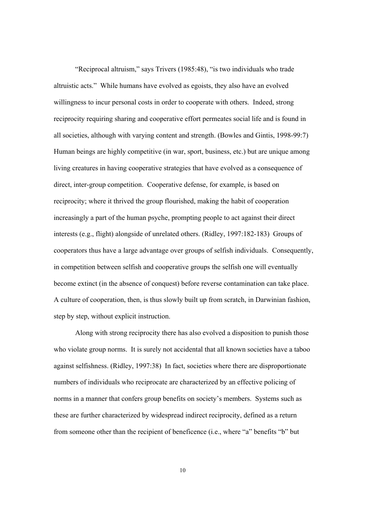"Reciprocal altruism," says Trivers (1985:48), "is two individuals who trade altruistic acts." While humans have evolved as egoists, they also have an evolved willingness to incur personal costs in order to cooperate with others. Indeed, strong reciprocity requiring sharing and cooperative effort permeates social life and is found in all societies, although with varying content and strength. (Bowles and Gintis, 1998-99:7) Human beings are highly competitive (in war, sport, business, etc.) but are unique among living creatures in having cooperative strategies that have evolved as a consequence of direct, inter-group competition. Cooperative defense, for example, is based on reciprocity; where it thrived the group flourished, making the habit of cooperation increasingly a part of the human psyche, prompting people to act against their direct interests (e.g., flight) alongside of unrelated others. (Ridley, 1997:182-183) Groups of cooperators thus have a large advantage over groups of selfish individuals. Consequently, in competition between selfish and cooperative groups the selfish one will eventually become extinct (in the absence of conquest) before reverse contamination can take place. A culture of cooperation, then, is thus slowly built up from scratch, in Darwinian fashion, step by step, without explicit instruction.

Along with strong reciprocity there has also evolved a disposition to punish those who violate group norms. It is surely not accidental that all known societies have a taboo against selfishness. (Ridley, 1997:38) In fact, societies where there are disproportionate numbers of individuals who reciprocate are characterized by an effective policing of norms in a manner that confers group benefits on society's members. Systems such as these are further characterized by widespread indirect reciprocity, defined as a return from someone other than the recipient of beneficence (i.e., where "a" benefits "b" but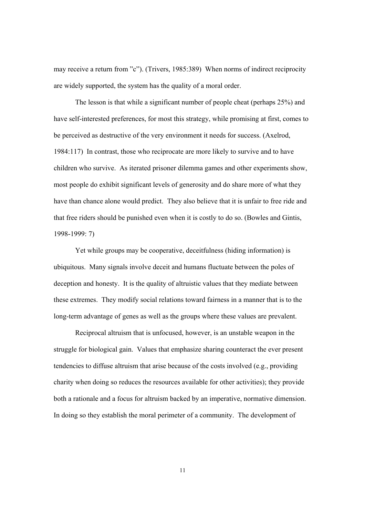may receive a return from "c"). (Trivers, 1985:389) When norms of indirect reciprocity are widely supported, the system has the quality of a moral order.

The lesson is that while a significant number of people cheat (perhaps 25%) and have self-interested preferences, for most this strategy, while promising at first, comes to be perceived as destructive of the very environment it needs for success. (Axelrod, 1984:117) In contrast, those who reciprocate are more likely to survive and to have children who survive. As iterated prisoner dilemma games and other experiments show, most people do exhibit significant levels of generosity and do share more of what they have than chance alone would predict. They also believe that it is unfair to free ride and that free riders should be punished even when it is costly to do so. (Bowles and Gintis, 1998-1999: 7)

Yet while groups may be cooperative, deceitfulness (hiding information) is ubiquitous. Many signals involve deceit and humans fluctuate between the poles of deception and honesty. It is the quality of altruistic values that they mediate between these extremes. They modify social relations toward fairness in a manner that is to the long-term advantage of genes as well as the groups where these values are prevalent.

 Reciprocal altruism that is unfocused, however, is an unstable weapon in the struggle for biological gain. Values that emphasize sharing counteract the ever present tendencies to diffuse altruism that arise because of the costs involved (e.g., providing charity when doing so reduces the resources available for other activities); they provide both a rationale and a focus for altruism backed by an imperative, normative dimension. In doing so they establish the moral perimeter of a community. The development of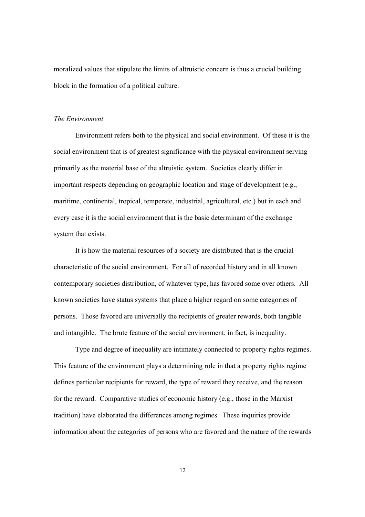moralized values that stipulate the limits of altruistic concern is thus a crucial building block in the formation of a political culture.

#### *The Environment*

 Environment refers both to the physical and social environment. Of these it is the social environment that is of greatest significance with the physical environment serving primarily as the material base of the altruistic system. Societies clearly differ in important respects depending on geographic location and stage of development (e.g., maritime, continental, tropical, temperate, industrial, agricultural, etc.) but in each and every case it is the social environment that is the basic determinant of the exchange system that exists.

 It is how the material resources of a society are distributed that is the crucial characteristic of the social environment. For all of recorded history and in all known contemporary societies distribution, of whatever type, has favored some over others. All known societies have status systems that place a higher regard on some categories of persons. Those favored are universally the recipients of greater rewards, both tangible and intangible. The brute feature of the social environment, in fact, is inequality.

 Type and degree of inequality are intimately connected to property rights regimes. This feature of the environment plays a determining role in that a property rights regime defines particular recipients for reward, the type of reward they receive, and the reason for the reward. Comparative studies of economic history (e.g., those in the Marxist tradition) have elaborated the differences among regimes. These inquiries provide information about the categories of persons who are favored and the nature of the rewards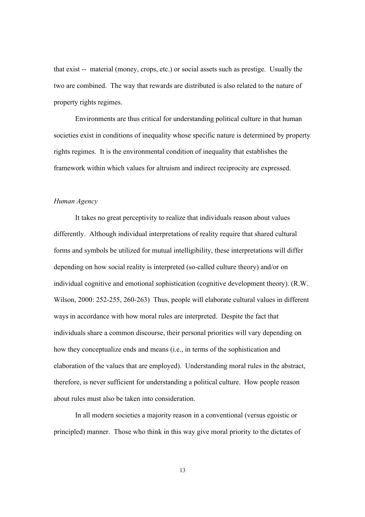that exist -- material (money, crops, etc.) or social assets such as prestige. Usually the two are combined. The way that rewards are distributed is also related to the nature of property rights regimes.

 Environments are thus critical for understanding political culture in that human societies exist in conditions of inequality whose specific nature is determined by property rights regimes. It is the environmental condition of inequality that establishes the framework within which values for altruism and indirect reciprocity are expressed.

### *Human Agency*

It takes no great perceptivity to realize that individuals reason about values differently. Although individual interpretations of reality require that shared cultural forms and symbols be utilized for mutual intelligibility, these interpretations will differ depending on how social reality is interpreted (so-called culture theory) and/or on individual cognitive and emotional sophistication (cognitive development theory). (R.W. Wilson, 2000: 252-255, 260-263) Thus, people will elaborate cultural values in different ways in accordance with how moral rules are interpreted. Despite the fact that individuals share a common discourse, their personal priorities will vary depending on how they conceptualize ends and means (i.e., in terms of the sophistication and elaboration of the values that are employed). Understanding moral rules in the abstract, therefore, is never sufficient for understanding a political culture. How people reason about rules must also be taken into consideration.

In all modern societies a majority reason in a conventional (versus egoistic or principled) manner. Those who think in this way give moral priority to the dictates of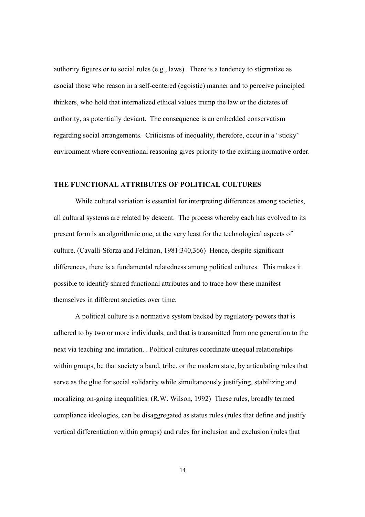authority figures or to social rules (e.g., laws). There is a tendency to stigmatize as asocial those who reason in a self-centered (egoistic) manner and to perceive principled thinkers, who hold that internalized ethical values trump the law or the dictates of authority, as potentially deviant. The consequence is an embedded conservatism regarding social arrangements. Criticisms of inequality, therefore, occur in a "sticky" environment where conventional reasoning gives priority to the existing normative order.

# **THE FUNCTIONAL ATTRIBUTES OF POLITICAL CULTURES**

While cultural variation is essential for interpreting differences among societies, all cultural systems are related by descent. The process whereby each has evolved to its present form is an algorithmic one, at the very least for the technological aspects of culture. (Cavalli-Sforza and Feldman, 1981:340,366) Hence, despite significant differences, there is a fundamental relatedness among political cultures. This makes it possible to identify shared functional attributes and to trace how these manifest themselves in different societies over time.

A political culture is a normative system backed by regulatory powers that is adhered to by two or more individuals, and that is transmitted from one generation to the next via teaching and imitation. . Political cultures coordinate unequal relationships within groups, be that society a band, tribe, or the modern state, by articulating rules that serve as the glue for social solidarity while simultaneously justifying, stabilizing and moralizing on-going inequalities. (R.W. Wilson, 1992) These rules, broadly termed compliance ideologies, can be disaggregated as status rules (rules that define and justify vertical differentiation within groups) and rules for inclusion and exclusion (rules that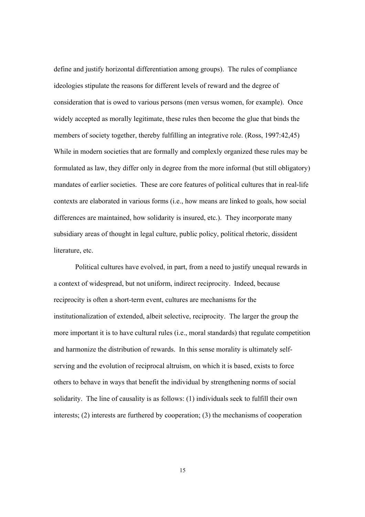define and justify horizontal differentiation among groups). The rules of compliance ideologies stipulate the reasons for different levels of reward and the degree of consideration that is owed to various persons (men versus women, for example). Once widely accepted as morally legitimate, these rules then become the glue that binds the members of society together, thereby fulfilling an integrative role. (Ross, 1997:42,45) While in modern societies that are formally and complexly organized these rules may be formulated as law, they differ only in degree from the more informal (but still obligatory) mandates of earlier societies. These are core features of political cultures that in real-life contexts are elaborated in various forms (i.e., how means are linked to goals, how social differences are maintained, how solidarity is insured, etc.). They incorporate many subsidiary areas of thought in legal culture, public policy, political rhetoric, dissident literature, etc.

Political cultures have evolved, in part, from a need to justify unequal rewards in a context of widespread, but not uniform, indirect reciprocity. Indeed, because reciprocity is often a short-term event, cultures are mechanisms for the institutionalization of extended, albeit selective, reciprocity. The larger the group the more important it is to have cultural rules (i.e., moral standards) that regulate competition and harmonize the distribution of rewards. In this sense morality is ultimately selfserving and the evolution of reciprocal altruism, on which it is based, exists to force others to behave in ways that benefit the individual by strengthening norms of social solidarity. The line of causality is as follows: (1) individuals seek to fulfill their own interests; (2) interests are furthered by cooperation; (3) the mechanisms of cooperation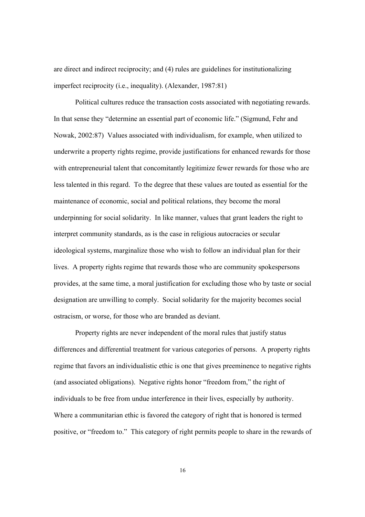are direct and indirect reciprocity; and (4) rules are guidelines for institutionalizing imperfect reciprocity (i.e., inequality). (Alexander, 1987:81)

Political cultures reduce the transaction costs associated with negotiating rewards. In that sense they "determine an essential part of economic life." (Sigmund, Fehr and Nowak, 2002:87) Values associated with individualism, for example, when utilized to underwrite a property rights regime, provide justifications for enhanced rewards for those with entrepreneurial talent that concomitantly legitimize fewer rewards for those who are less talented in this regard. To the degree that these values are touted as essential for the maintenance of economic, social and political relations, they become the moral underpinning for social solidarity. In like manner, values that grant leaders the right to interpret community standards, as is the case in religious autocracies or secular ideological systems, marginalize those who wish to follow an individual plan for their lives. A property rights regime that rewards those who are community spokespersons provides, at the same time, a moral justification for excluding those who by taste or social designation are unwilling to comply. Social solidarity for the majority becomes social ostracism, or worse, for those who are branded as deviant.

Property rights are never independent of the moral rules that justify status differences and differential treatment for various categories of persons. A property rights regime that favors an individualistic ethic is one that gives preeminence to negative rights (and associated obligations). Negative rights honor "freedom from," the right of individuals to be free from undue interference in their lives, especially by authority. Where a communitarian ethic is favored the category of right that is honored is termed positive, or "freedom to." This category of right permits people to share in the rewards of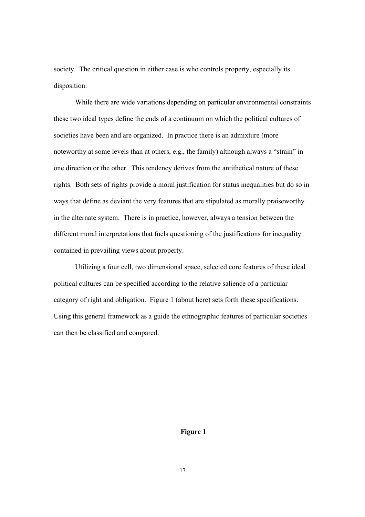society. The critical question in either case is who controls property, especially its disposition.

While there are wide variations depending on particular environmental constraints these two ideal types define the ends of a continuum on which the political cultures of societies have been and are organized. In practice there is an admixture (more noteworthy at some levels than at others, e.g., the family) although always a "strain" in one direction or the other. This tendency derives from the antithetical nature of these rights. Both sets of rights provide a moral justification for status inequalities but do so in ways that define as deviant the very features that are stipulated as morally praiseworthy in the alternate system. There is in practice, however, always a tension between the different moral interpretations that fuels questioning of the justifications for inequality contained in prevailing views about property.

Utilizing a four cell, two dimensional space, selected core features of these ideal political cultures can be specified according to the relative salience of a particular category of right and obligation. Figure 1 (about here) sets forth these specifications. Using this general framework as a guide the ethnographic features of particular societies can then be classified and compared.

**Figure 1**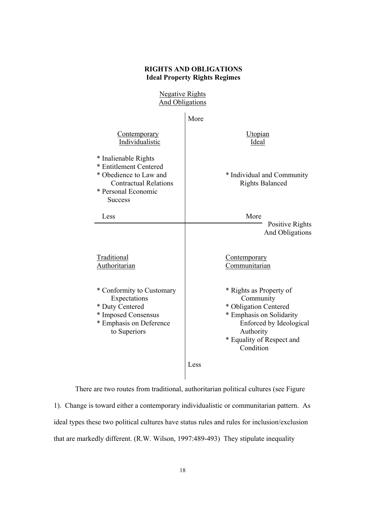## **RIGHTS AND OBLIGATIONS Ideal Property Rights Regimes**

Negative Rights And Obligations

|                                                                                                                                                   | More                                                                                                                                                                        |
|---------------------------------------------------------------------------------------------------------------------------------------------------|-----------------------------------------------------------------------------------------------------------------------------------------------------------------------------|
| Contemporary<br>Individualistic                                                                                                                   | Utopian<br>Ideal                                                                                                                                                            |
| * Inalienable Rights<br>* Entitlement Centered<br>* Obedience to Law and<br><b>Contractual Relations</b><br>* Personal Economic<br><b>Success</b> | * Individual and Community<br><b>Rights Balanced</b>                                                                                                                        |
| Less                                                                                                                                              | More<br>Positive Rights                                                                                                                                                     |
|                                                                                                                                                   | And Obligations                                                                                                                                                             |
| Traditional<br>Authoritarian                                                                                                                      | <b>Contemporary</b><br>Communitarian                                                                                                                                        |
| * Conformity to Customary<br>Expectations<br>* Duty Centered<br>* Imposed Consensus<br>* Emphasis on Deference<br>to Superiors                    | * Rights as Property of<br>Community<br>* Obligation Centered<br>* Emphasis on Solidarity<br>Enforced by Ideological<br>Authority<br>* Equality of Respect and<br>Condition |
|                                                                                                                                                   | Less                                                                                                                                                                        |

There are two routes from traditional, authoritarian political cultures (see Figure 1). Change is toward either a contemporary individualistic or communitarian pattern. As ideal types these two political cultures have status rules and rules for inclusion/exclusion that are markedly different. (R.W. Wilson, 1997:489-493) They stipulate inequality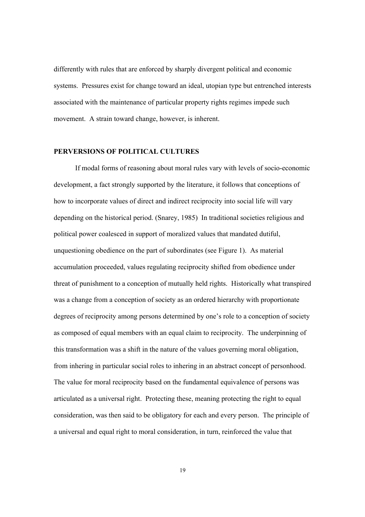differently with rules that are enforced by sharply divergent political and economic systems. Pressures exist for change toward an ideal, utopian type but entrenched interests associated with the maintenance of particular property rights regimes impede such movement. A strain toward change, however, is inherent.

# **PERVERSIONS OF POLITICAL CULTURES**

If modal forms of reasoning about moral rules vary with levels of socio-economic development, a fact strongly supported by the literature, it follows that conceptions of how to incorporate values of direct and indirect reciprocity into social life will vary depending on the historical period. (Snarey, 1985) In traditional societies religious and political power coalesced in support of moralized values that mandated dutiful, unquestioning obedience on the part of subordinates (see Figure 1). As material accumulation proceeded, values regulating reciprocity shifted from obedience under threat of punishment to a conception of mutually held rights. Historically what transpired was a change from a conception of society as an ordered hierarchy with proportionate degrees of reciprocity among persons determined by one's role to a conception of society as composed of equal members with an equal claim to reciprocity. The underpinning of this transformation was a shift in the nature of the values governing moral obligation, from inhering in particular social roles to inhering in an abstract concept of personhood. The value for moral reciprocity based on the fundamental equivalence of persons was articulated as a universal right. Protecting these, meaning protecting the right to equal consideration, was then said to be obligatory for each and every person. The principle of a universal and equal right to moral consideration, in turn, reinforced the value that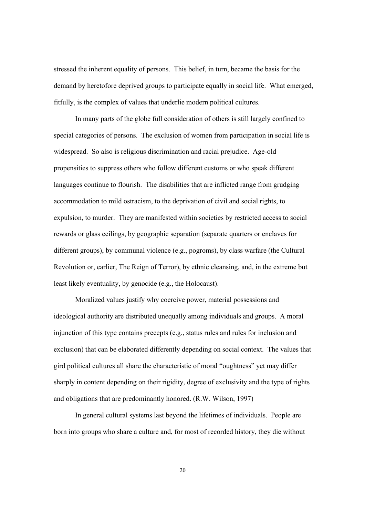stressed the inherent equality of persons. This belief, in turn, became the basis for the demand by heretofore deprived groups to participate equally in social life. What emerged, fitfully, is the complex of values that underlie modern political cultures.

In many parts of the globe full consideration of others is still largely confined to special categories of persons. The exclusion of women from participation in social life is widespread. So also is religious discrimination and racial prejudice. Age-old propensities to suppress others who follow different customs or who speak different languages continue to flourish. The disabilities that are inflicted range from grudging accommodation to mild ostracism, to the deprivation of civil and social rights, to expulsion, to murder. They are manifested within societies by restricted access to social rewards or glass ceilings, by geographic separation (separate quarters or enclaves for different groups), by communal violence (e.g., pogroms), by class warfare (the Cultural Revolution or, earlier, The Reign of Terror), by ethnic cleansing, and, in the extreme but least likely eventuality, by genocide (e.g., the Holocaust).

Moralized values justify why coercive power, material possessions and ideological authority are distributed unequally among individuals and groups. A moral injunction of this type contains precepts (e.g., status rules and rules for inclusion and exclusion) that can be elaborated differently depending on social context. The values that gird political cultures all share the characteristic of moral "oughtness" yet may differ sharply in content depending on their rigidity, degree of exclusivity and the type of rights and obligations that are predominantly honored. (R.W. Wilson, 1997)

In general cultural systems last beyond the lifetimes of individuals. People are born into groups who share a culture and, for most of recorded history, they die without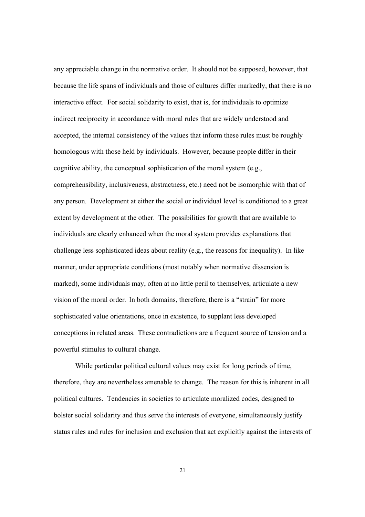any appreciable change in the normative order. It should not be supposed, however, that because the life spans of individuals and those of cultures differ markedly, that there is no interactive effect. For social solidarity to exist, that is, for individuals to optimize indirect reciprocity in accordance with moral rules that are widely understood and accepted, the internal consistency of the values that inform these rules must be roughly homologous with those held by individuals. However, because people differ in their cognitive ability, the conceptual sophistication of the moral system (e.g., comprehensibility, inclusiveness, abstractness, etc.) need not be isomorphic with that of any person. Development at either the social or individual level is conditioned to a great extent by development at the other. The possibilities for growth that are available to individuals are clearly enhanced when the moral system provides explanations that challenge less sophisticated ideas about reality (e.g., the reasons for inequality). In like manner, under appropriate conditions (most notably when normative dissension is marked), some individuals may, often at no little peril to themselves, articulate a new vision of the moral order. In both domains, therefore, there is a "strain" for more sophisticated value orientations, once in existence, to supplant less developed conceptions in related areas. These contradictions are a frequent source of tension and a powerful stimulus to cultural change.

While particular political cultural values may exist for long periods of time, therefore, they are nevertheless amenable to change. The reason for this is inherent in all political cultures. Tendencies in societies to articulate moralized codes, designed to bolster social solidarity and thus serve the interests of everyone, simultaneously justify status rules and rules for inclusion and exclusion that act explicitly against the interests of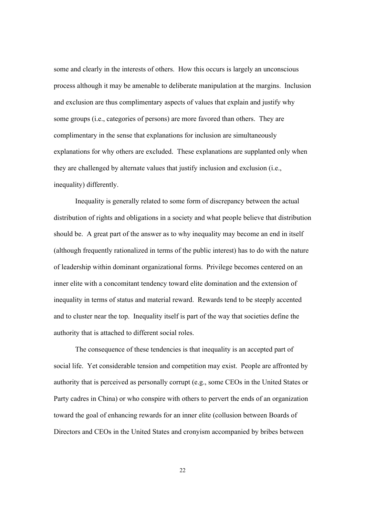some and clearly in the interests of others. How this occurs is largely an unconscious process although it may be amenable to deliberate manipulation at the margins. Inclusion and exclusion are thus complimentary aspects of values that explain and justify why some groups (i.e., categories of persons) are more favored than others. They are complimentary in the sense that explanations for inclusion are simultaneously explanations for why others are excluded. These explanations are supplanted only when they are challenged by alternate values that justify inclusion and exclusion (i.e., inequality) differently.

Inequality is generally related to some form of discrepancy between the actual distribution of rights and obligations in a society and what people believe that distribution should be. A great part of the answer as to why inequality may become an end in itself (although frequently rationalized in terms of the public interest) has to do with the nature of leadership within dominant organizational forms. Privilege becomes centered on an inner elite with a concomitant tendency toward elite domination and the extension of inequality in terms of status and material reward. Rewards tend to be steeply accented and to cluster near the top. Inequality itself is part of the way that societies define the authority that is attached to different social roles.

The consequence of these tendencies is that inequality is an accepted part of social life. Yet considerable tension and competition may exist. People are affronted by authority that is perceived as personally corrupt (e.g., some CEOs in the United States or Party cadres in China) or who conspire with others to pervert the ends of an organization toward the goal of enhancing rewards for an inner elite (collusion between Boards of Directors and CEOs in the United States and cronyism accompanied by bribes between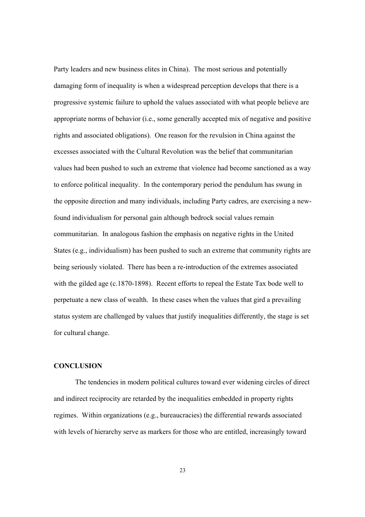Party leaders and new business elites in China). The most serious and potentially damaging form of inequality is when a widespread perception develops that there is a progressive systemic failure to uphold the values associated with what people believe are appropriate norms of behavior (i.e., some generally accepted mix of negative and positive rights and associated obligations). One reason for the revulsion in China against the excesses associated with the Cultural Revolution was the belief that communitarian values had been pushed to such an extreme that violence had become sanctioned as a way to enforce political inequality. In the contemporary period the pendulum has swung in the opposite direction and many individuals, including Party cadres, are exercising a newfound individualism for personal gain although bedrock social values remain communitarian. In analogous fashion the emphasis on negative rights in the United States (e.g., individualism) has been pushed to such an extreme that community rights are being seriously violated. There has been a re-introduction of the extremes associated with the gilded age (c.1870-1898). Recent efforts to repeal the Estate Tax bode well to perpetuate a new class of wealth. In these cases when the values that gird a prevailing status system are challenged by values that justify inequalities differently, the stage is set for cultural change.

## **CONCLUSION**

The tendencies in modern political cultures toward ever widening circles of direct and indirect reciprocity are retarded by the inequalities embedded in property rights regimes. Within organizations (e.g., bureaucracies) the differential rewards associated with levels of hierarchy serve as markers for those who are entitled, increasingly toward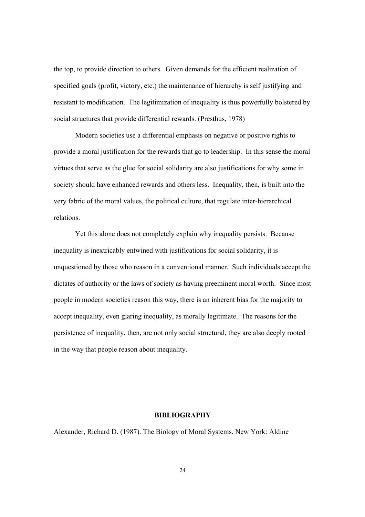the top, to provide direction to others. Given demands for the efficient realization of specified goals (profit, victory, etc.) the maintenance of hierarchy is self justifying and resistant to modification. The legitimization of inequality is thus powerfully bolstered by social structures that provide differential rewards. (Presthus, 1978)

Modern societies use a differential emphasis on negative or positive rights to provide a moral justification for the rewards that go to leadership. In this sense the moral virtues that serve as the glue for social solidarity are also justifications for why some in society should have enhanced rewards and others less. Inequality, then, is built into the very fabric of the moral values, the political culture, that regulate inter-hierarchical relations.

Yet this alone does not completely explain why inequality persists. Because inequality is inextricably entwined with justifications for social solidarity, it is unquestioned by those who reason in a conventional manner. Such individuals accept the dictates of authority or the laws of society as having preeminent moral worth. Since most people in modern societies reason this way, there is an inherent bias for the majority to accept inequality, even glaring inequality, as morally legitimate. The reasons for the persistence of inequality, then, are not only social structural, they are also deeply rooted in the way that people reason about inequality.

#### **BIBLIOGRAPHY**

Alexander, Richard D. (1987). The Biology of Moral Systems. New York: Aldine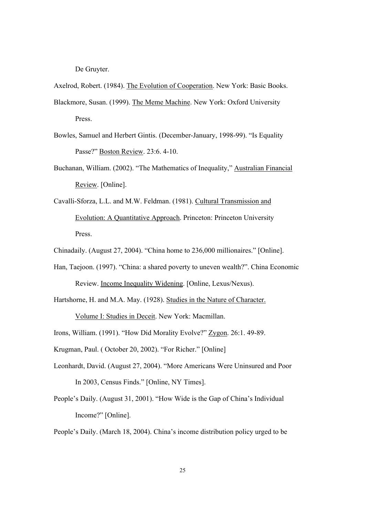De Gruyter.

Axelrod, Robert. (1984). The Evolution of Cooperation. New York: Basic Books.

- Blackmore, Susan. (1999). The Meme Machine. New York: Oxford University Press.
- Bowles, Samuel and Herbert Gintis. (December-January, 1998-99). "Is Equality Passe?" Boston Review. 23:6. 4-10.
- Buchanan, William. (2002). "The Mathematics of Inequality," Australian Financial Review. [Online].
- Cavalli-Sforza, L.L. and M.W. Feldman. (1981). Cultural Transmission and Evolution: A Quantitative Approach. Princeton: Princeton University Press.

Chinadaily. (August 27, 2004). "China home to 236,000 millionaires." [Online].

- Han, Taejoon. (1997). "China: a shared poverty to uneven wealth?". China Economic Review. Income Inequality Widening. [Online, Lexus/Nexus).
- Hartshorne, H. and M.A. May. (1928). Studies in the Nature of Character. Volume I: Studies in Deceit. New York: Macmillan.

Irons, William. (1991). "How Did Morality Evolve?" Zygon. 26:1. 49-89.

- Krugman, Paul. ( October 20, 2002). "For Richer." [Online]
- Leonhardt, David. (August 27, 2004). "More Americans Were Uninsured and Poor In 2003, Census Finds." [Online, NY Times].
- People's Daily. (August 31, 2001). "How Wide is the Gap of China's Individual Income?" [Online].
- People's Daily. (March 18, 2004). China's income distribution policy urged to be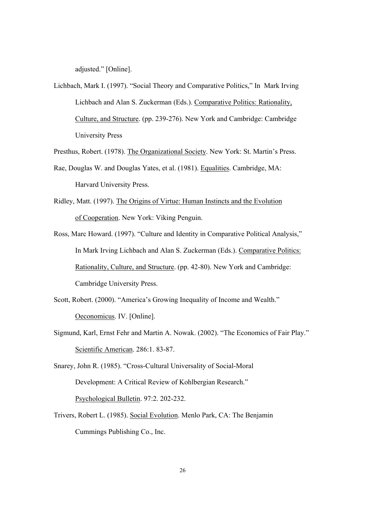adjusted." [Online].

Lichbach, Mark I. (1997). "Social Theory and Comparative Politics," In Mark Irving Lichbach and Alan S. Zuckerman (Eds.). Comparative Politics: Rationality, Culture, and Structure. (pp. 239-276). New York and Cambridge: Cambridge University Press

Presthus, Robert. (1978). The Organizational Society. New York: St. Martin's Press.

- Rae, Douglas W. and Douglas Yates, et al. (1981). Equalities. Cambridge, MA: Harvard University Press.
- Ridley, Matt. (1997). The Origins of Virtue: Human Instincts and the Evolution of Cooperation. New York: Viking Penguin.
- Ross, Marc Howard. (1997). "Culture and Identity in Comparative Political Analysis," In Mark Irving Lichbach and Alan S. Zuckerman (Eds.). Comparative Politics: Rationality, Culture, and Structure. (pp. 42-80). New York and Cambridge: Cambridge University Press.
- Scott, Robert. (2000). "America's Growing Inequality of Income and Wealth." Oeconomicus. IV. [Online].
- Sigmund, Karl, Ernst Fehr and Martin A. Nowak. (2002). "The Economics of Fair Play." Scientific American. 286:1. 83-87.
- Snarey, John R. (1985). "Cross-Cultural Universality of Social-Moral Development: A Critical Review of Kohlbergian Research." Psychological Bulletin. 97:2. 202-232.
- Trivers, Robert L. (1985). Social Evolution. Menlo Park, CA: The Benjamin Cummings Publishing Co., Inc.